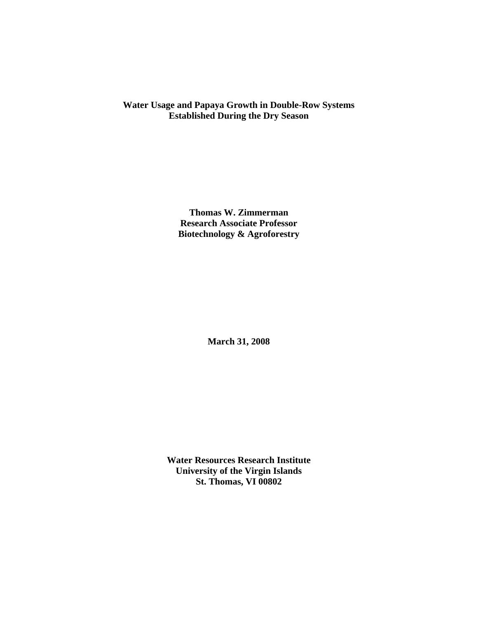# **Water Usage and Papaya Growth in Double-Row Systems Established During the Dry Season**

**Thomas W. Zimmerman Research Associate Professor Biotechnology & Agroforestry** 

**March 31, 2008** 

**Water Resources Research Institute University of the Virgin Islands St. Thomas, VI 00802**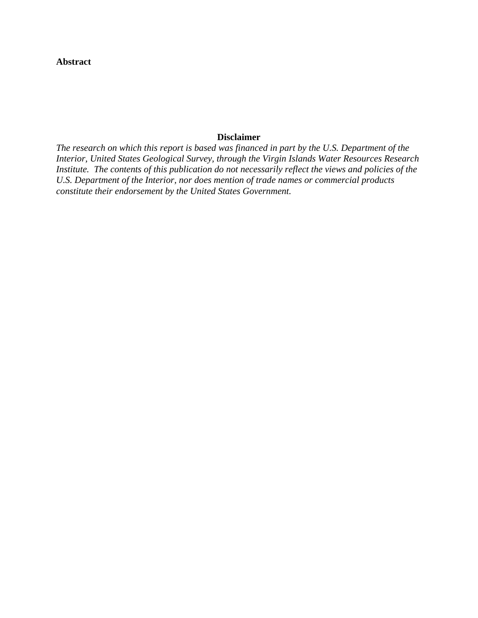## **Abstract**

## **Disclaimer**

*The research on which this report is based was financed in part by the U.S. Department of the Interior, United States Geological Survey, through the Virgin Islands Water Resources Research Institute. The contents of this publication do not necessarily reflect the views and policies of the U.S. Department of the Interior, nor does mention of trade names or commercial products constitute their endorsement by the United States Government.*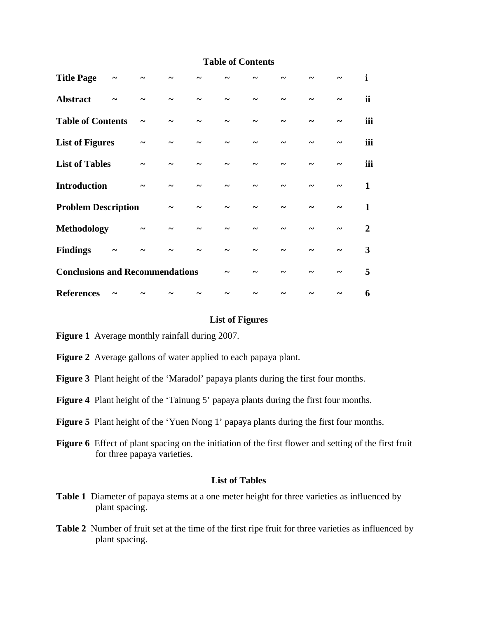## **Table of Contents**

| <b>Title Page</b>                      |  |  |  |  |                       | i         |
|----------------------------------------|--|--|--|--|-----------------------|-----------|
| <b>Abstract</b>                        |  |  |  |  |                       | <i>ii</i> |
| <b>Table of Contents</b>               |  |  |  |  |                       | iii       |
| <b>List of Figures</b>                 |  |  |  |  | $\tilde{\phantom{a}}$ | iii       |
| <b>List of Tables</b>                  |  |  |  |  |                       | iii       |
| <b>Introduction</b>                    |  |  |  |  | $\tilde{\phantom{a}}$ | 1         |
| <b>Problem Description</b>             |  |  |  |  |                       | 1         |
| <b>Methodology</b>                     |  |  |  |  |                       | 2         |
| <b>Findings</b>                        |  |  |  |  |                       | 3         |
| <b>Conclusions and Recommendations</b> |  |  |  |  |                       | 5         |
| <b>References</b>                      |  |  |  |  |                       | 6         |

### **List of Figures**

**Figure 1** Average monthly rainfall during 2007.

- **Figure 2** Average gallons of water applied to each papaya plant.
- **Figure 3** Plant height of the 'Maradol' papaya plants during the first four months.
- **Figure 4** Plant height of the 'Tainung 5' papaya plants during the first four months.
- **Figure 5** Plant height of the 'Yuen Nong 1' papaya plants during the first four months.
- **Figure 6** Effect of plant spacing on the initiation of the first flower and setting of the first fruit for three papaya varieties.

#### **List of Tables**

- **Table 1** Diameter of papaya stems at a one meter height for three varieties as influenced by plant spacing.
- **Table 2** Number of fruit set at the time of the first ripe fruit for three varieties as influenced by plant spacing.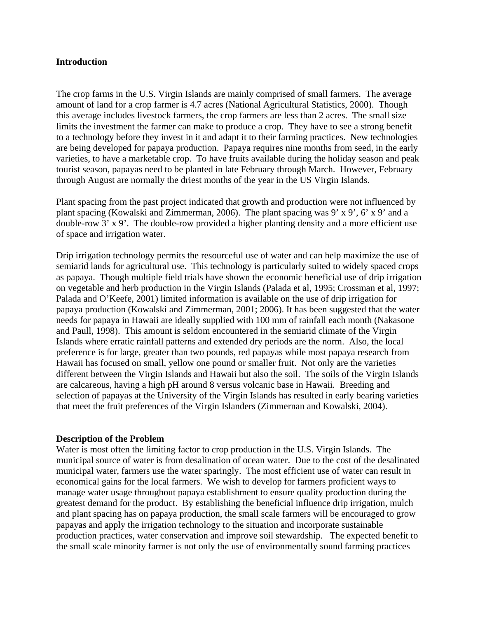#### **Introduction**

The crop farms in the U.S. Virgin Islands are mainly comprised of small farmers. The average amount of land for a crop farmer is 4.7 acres (National Agricultural Statistics, 2000). Though this average includes livestock farmers, the crop farmers are less than 2 acres. The small size limits the investment the farmer can make to produce a crop. They have to see a strong benefit to a technology before they invest in it and adapt it to their farming practices. New technologies are being developed for papaya production. Papaya requires nine months from seed, in the early varieties, to have a marketable crop. To have fruits available during the holiday season and peak tourist season, papayas need to be planted in late February through March. However, February through August are normally the driest months of the year in the US Virgin Islands.

Plant spacing from the past project indicated that growth and production were not influenced by plant spacing (Kowalski and Zimmerman, 2006). The plant spacing was 9' x 9', 6' x 9' and a double-row 3' x 9'. The double-row provided a higher planting density and a more efficient use of space and irrigation water.

Drip irrigation technology permits the resourceful use of water and can help maximize the use of semiarid lands for agricultural use. This technology is particularly suited to widely spaced crops as papaya. Though multiple field trials have shown the economic beneficial use of drip irrigation on vegetable and herb production in the Virgin Islands (Palada et al, 1995; Crossman et al, 1997; Palada and O'Keefe, 2001) limited information is available on the use of drip irrigation for papaya production (Kowalski and Zimmerman, 2001; 2006). It has been suggested that the water needs for papaya in Hawaii are ideally supplied with 100 mm of rainfall each month (Nakasone and Paull, 1998). This amount is seldom encountered in the semiarid climate of the Virgin Islands where erratic rainfall patterns and extended dry periods are the norm. Also, the local preference is for large, greater than two pounds, red papayas while most papaya research from Hawaii has focused on small, yellow one pound or smaller fruit. Not only are the varieties different between the Virgin Islands and Hawaii but also the soil. The soils of the Virgin Islands are calcareous, having a high pH around 8 versus volcanic base in Hawaii. Breeding and selection of papayas at the University of the Virgin Islands has resulted in early bearing varieties that meet the fruit preferences of the Virgin Islanders (Zimmernan and Kowalski, 2004).

#### **Description of the Problem**

Water is most often the limiting factor to crop production in the U.S. Virgin Islands. The municipal source of water is from desalination of ocean water. Due to the cost of the desalinated municipal water, farmers use the water sparingly. The most efficient use of water can result in economical gains for the local farmers. We wish to develop for farmers proficient ways to manage water usage throughout papaya establishment to ensure quality production during the greatest demand for the product. By establishing the beneficial influence drip irrigation, mulch and plant spacing has on papaya production, the small scale farmers will be encouraged to grow papayas and apply the irrigation technology to the situation and incorporate sustainable production practices, water conservation and improve soil stewardship. The expected benefit to the small scale minority farmer is not only the use of environmentally sound farming practices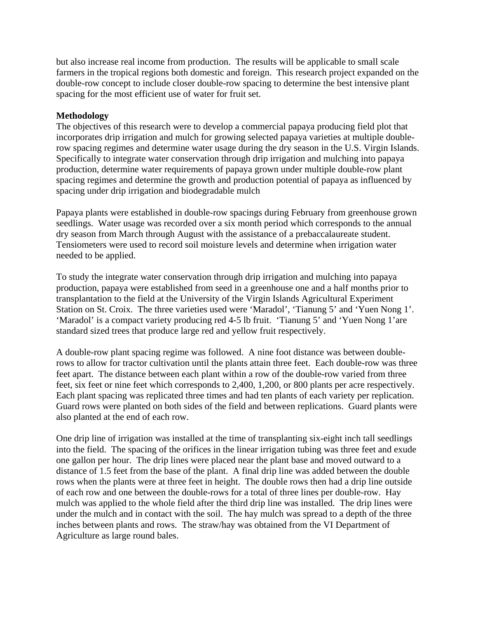but also increase real income from production. The results will be applicable to small scale farmers in the tropical regions both domestic and foreign. This research project expanded on the double-row concept to include closer double-row spacing to determine the best intensive plant spacing for the most efficient use of water for fruit set.

# **Methodology**

The objectives of this research were to develop a commercial papaya producing field plot that incorporates drip irrigation and mulch for growing selected papaya varieties at multiple doublerow spacing regimes and determine water usage during the dry season in the U.S. Virgin Islands. Specifically to integrate water conservation through drip irrigation and mulching into papaya production, determine water requirements of papaya grown under multiple double-row plant spacing regimes and determine the growth and production potential of papaya as influenced by spacing under drip irrigation and biodegradable mulch

Papaya plants were established in double-row spacings during February from greenhouse grown seedlings. Water usage was recorded over a six month period which corresponds to the annual dry season from March through August with the assistance of a prebaccalaureate student. Tensiometers were used to record soil moisture levels and determine when irrigation water needed to be applied.

To study the integrate water conservation through drip irrigation and mulching into papaya production, papaya were established from seed in a greenhouse one and a half months prior to transplantation to the field at the University of the Virgin Islands Agricultural Experiment Station on St. Croix. The three varieties used were 'Maradol', 'Tianung 5' and 'Yuen Nong 1'. 'Maradol' is a compact variety producing red 4-5 lb fruit. 'Tianung 5' and 'Yuen Nong 1'are standard sized trees that produce large red and yellow fruit respectively.

A double-row plant spacing regime was followed. A nine foot distance was between doublerows to allow for tractor cultivation until the plants attain three feet. Each double-row was three feet apart. The distance between each plant within a row of the double-row varied from three feet, six feet or nine feet which corresponds to 2,400, 1,200, or 800 plants per acre respectively. Each plant spacing was replicated three times and had ten plants of each variety per replication. Guard rows were planted on both sides of the field and between replications. Guard plants were also planted at the end of each row.

One drip line of irrigation was installed at the time of transplanting six-eight inch tall seedlings into the field. The spacing of the orifices in the linear irrigation tubing was three feet and exude one gallon per hour. The drip lines were placed near the plant base and moved outward to a distance of 1.5 feet from the base of the plant. A final drip line was added between the double rows when the plants were at three feet in height. The double rows then had a drip line outside of each row and one between the double-rows for a total of three lines per double-row. Hay mulch was applied to the whole field after the third drip line was installed. The drip lines were under the mulch and in contact with the soil. The hay mulch was spread to a depth of the three inches between plants and rows. The straw/hay was obtained from the VI Department of Agriculture as large round bales.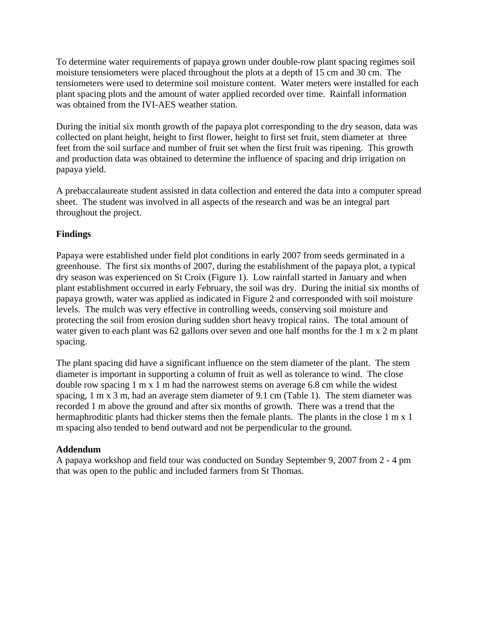To determine water requirements of papaya grown under double-row plant spacing regimes soil moisture tensiometers were placed throughout the plots at a depth of 15 cm and 30 cm. The tensiometers were used to determine soil moisture content. Water meters were installed for each plant spacing plots and the amount of water applied recorded over time. Rainfall information was obtained from the IVI-AES weather station.

During the initial six month growth of the papaya plot corresponding to the dry season, data was collected on plant height, height to first flower, height to first set fruit, stem diameter at three feet from the soil surface and number of fruit set when the first fruit was ripening. This growth and production data was obtained to determine the influence of spacing and drip irrigation on papaya yield.

A prebaccalaureate student assisted in data collection and entered the data into a computer spread sheet. The student was involved in all aspects of the research and was be an integral part throughout the project.

# **Findings**

Papaya were established under field plot conditions in early 2007 from seeds germinated in a greenhouse. The first six months of 2007, during the establishment of the papaya plot, a typical dry season was experienced on St Croix (Figure 1). Low rainfall started in January and when plant establishment occurred in early February, the soil was dry. During the initial six months of papaya growth, water was applied as indicated in Figure 2 and corresponded with soil moisture levels. The mulch was very effective in controlling weeds, conserving soil moisture and protecting the soil from erosion during sudden short heavy tropical rains. The total amount of water given to each plant was 62 gallons over seven and one half months for the 1 m x 2 m plant spacing.

The plant spacing did have a significant influence on the stem diameter of the plant. The stem diameter is important in supporting a column of fruit as well as tolerance to wind. The close double row spacing 1 m x 1 m had the narrowest stems on average 6.8 cm while the widest spacing, 1 m x 3 m, had an average stem diameter of 9.1 cm (Table 1). The stem diameter was recorded 1 m above the ground and after six months of growth. There was a trend that the hermaphroditic plants had thicker stems then the female plants. The plants in the close 1 m x 1 m spacing also tended to bend outward and not be perpendicular to the ground.

# **Addendum**

A papaya workshop and field tour was conducted on Sunday September 9, 2007 from 2 - 4 pm that was open to the public and included farmers from St Thomas.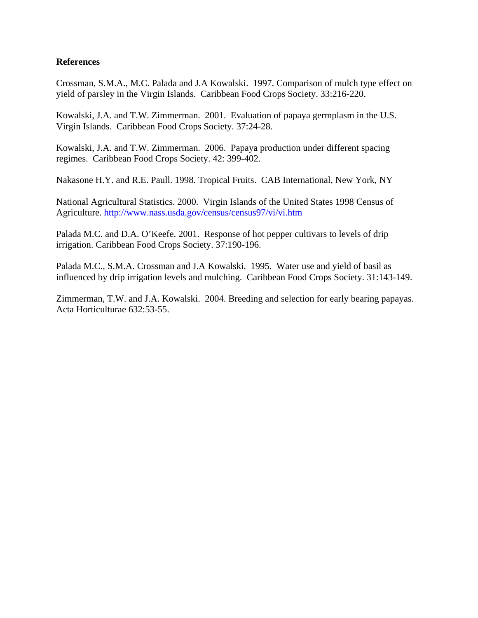## **References**

Crossman, S.M.A., M.C. Palada and J.A Kowalski. 1997. Comparison of mulch type effect on yield of parsley in the Virgin Islands. Caribbean Food Crops Society. 33:216-220.

Kowalski, J.A. and T.W. Zimmerman. 2001. Evaluation of papaya germplasm in the U.S. Virgin Islands. Caribbean Food Crops Society. 37:24-28.

Kowalski, J.A. and T.W. Zimmerman. 2006. Papaya production under different spacing regimes. Caribbean Food Crops Society. 42: 399-402.

Nakasone H.Y. and R.E. Paull. 1998. Tropical Fruits. CAB International, New York, NY

National Agricultural Statistics. 2000. Virgin Islands of the United States 1998 Census of Agriculture. http://www.nass.usda.gov/census/census97/vi/vi.htm

Palada M.C. and D.A. O'Keefe. 2001. Response of hot pepper cultivars to levels of drip irrigation. Caribbean Food Crops Society. 37:190-196.

Palada M.C., S.M.A. Crossman and J.A Kowalski. 1995. Water use and yield of basil as influenced by drip irrigation levels and mulching. Caribbean Food Crops Society. 31:143-149.

Zimmerman, T.W. and J.A. Kowalski. 2004. Breeding and selection for early bearing papayas. Acta Horticulturae 632:53-55.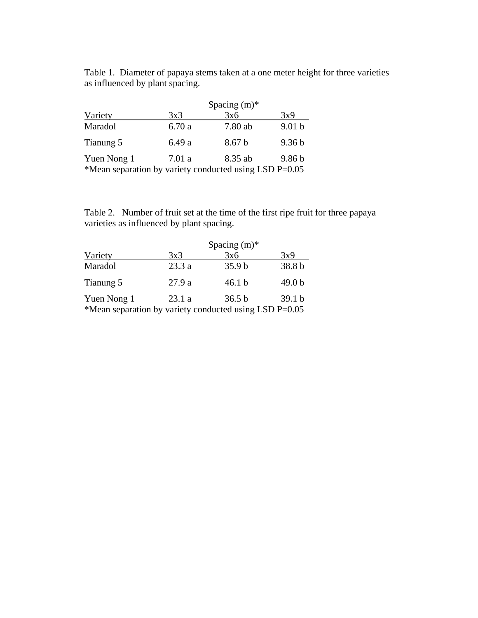Table 1. Diameter of papaya stems taken at a one meter height for three varieties as influenced by plant spacing.

|              | Spacing $(m)^*$ |                   |                   |  |  |
|--------------|-----------------|-------------------|-------------------|--|--|
| Variety      | 3x3             | 3x6               | 3x9               |  |  |
| Maradol      | 6.70a           | 7.80 ab           | 9.01 <sub>b</sub> |  |  |
| Tianung 5    | 6.49 a          | 8.67 <sub>b</sub> | 9.36 <sub>b</sub> |  |  |
| Yuen Nong 1  | 7.01 a          | 8.35 ab           | 9.86 <sub>b</sub> |  |  |
| $\mathbf{r}$ |                 |                   | <b>TARRACE</b>    |  |  |

\*Mean separation by variety conducted using LSD P=0.05

Table 2. Number of fruit set at the time of the first ripe fruit for three papaya varieties as influenced by plant spacing.

|                                                        | Spacing $(m)$ * |                   |                   |
|--------------------------------------------------------|-----------------|-------------------|-------------------|
| Variety                                                | 3x3             | 3x6               | 3x9               |
| Maradol                                                | 23.3 a          | 35.9 <sub>b</sub> | 38.8 b            |
| Tianung 5                                              | 27.9a           | 46.1 <sub>b</sub> | 49.0 <sub>b</sub> |
| <b>Yuen Nong 1</b>                                     | 23.1a           | 36.5 b            | 39.1 <sub>b</sub> |
| *Mean separation by variety conducted using LSD P=0.05 |                 |                   |                   |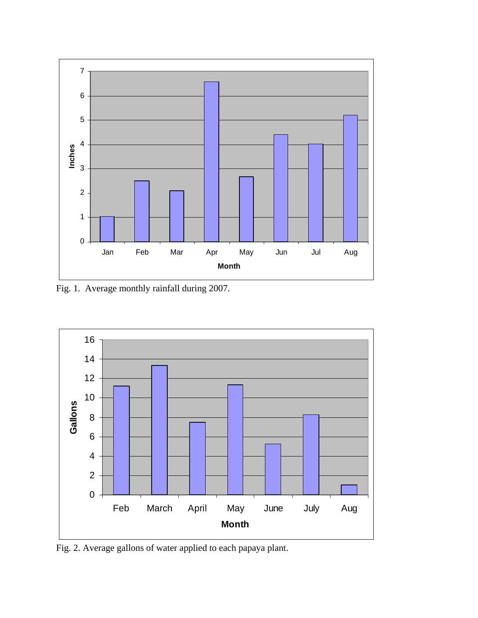

Fig. 1. Average monthly rainfall during 2007.



Fig. 2. Average gallons of water applied to each papaya plant.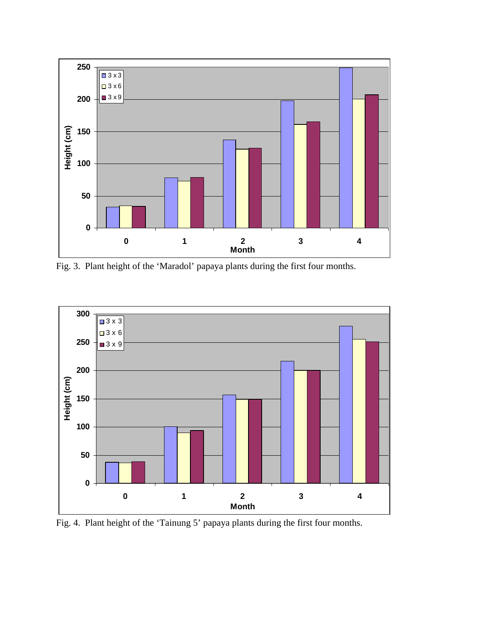

Fig. 3. Plant height of the 'Maradol' papaya plants during the first four months.



Fig. 4. Plant height of the 'Tainung 5' papaya plants during the first four months.